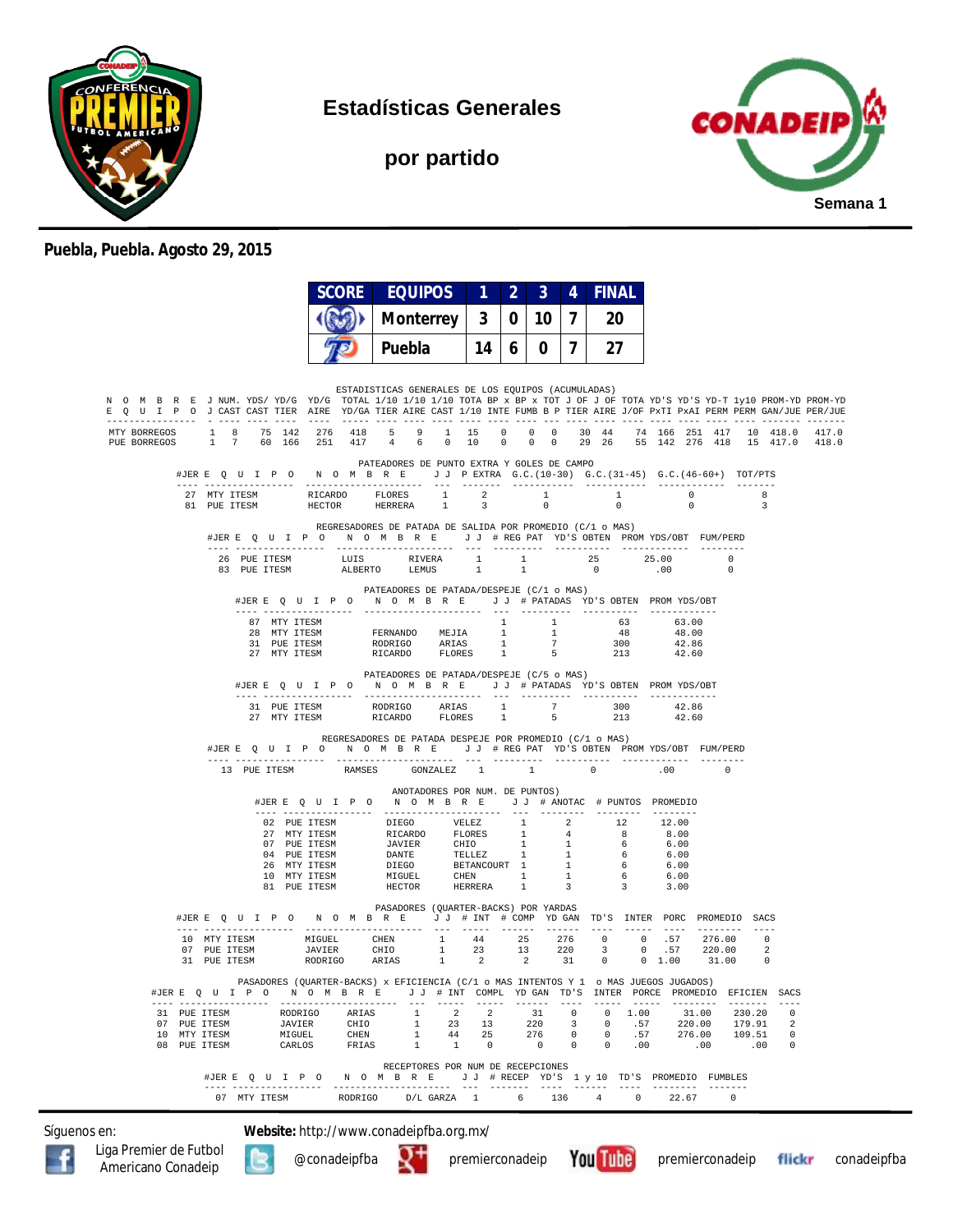

**Estadísticas Generales**

**por partido**



## **Puebla, Puebla. Agosto 29, 2015**

|                                                                                                                                                                                                                                                                                                                                                                                                                                    |                                                                                                                                                                                                                                                                                                                                                                                                                       | <b>SCORE EQUIPOS</b>                                      |                                | $\overline{2}$ | $\overline{3}$ | $\overline{4}$ | <b>FINAL</b>           |                                                                  |                                 |  |
|------------------------------------------------------------------------------------------------------------------------------------------------------------------------------------------------------------------------------------------------------------------------------------------------------------------------------------------------------------------------------------------------------------------------------------|-----------------------------------------------------------------------------------------------------------------------------------------------------------------------------------------------------------------------------------------------------------------------------------------------------------------------------------------------------------------------------------------------------------------------|-----------------------------------------------------------|--------------------------------|----------------|----------------|----------------|------------------------|------------------------------------------------------------------|---------------------------------|--|
|                                                                                                                                                                                                                                                                                                                                                                                                                                    |                                                                                                                                                                                                                                                                                                                                                                                                                       | Monterrey                                                 | $\mathbf{3}$                   | $\mathbf{0}$   | 10 I           | $\overline{7}$ | 20                     |                                                                  |                                 |  |
|                                                                                                                                                                                                                                                                                                                                                                                                                                    |                                                                                                                                                                                                                                                                                                                                                                                                                       | Puebla                                                    | 14 I                           | 6              |                |                | $0 \mid 7 \mid 27$     |                                                                  |                                 |  |
| N O M B R E J NUM. YDS/YD/G YD/G TOTAL 1/10 1/10 1/10 TOTA BP x BP x TOT J OF J OF TOTA YD'S YD-T 1y10 PROM-YD PROM-YD<br>E Q U I P O J CAST CAST TIER AIRE YD/GA TIER AIRE CAST 1/10 INTE FUMB B P TIER AIRE J/OF PXTI PXAI PERM PERM GAN/JUE PER/JUE<br>MTY BORREGOS 1 8 75 142 276 418 5 9 1 15 0 0 0 30 44 74 166 251 417 10 418.0 417.0<br>PUE BORREGOS 1 7 60 166 251 417 4 6 0 10 0 0 0 29 26 55 142 276 418 15 417.0 418.0 |                                                                                                                                                                                                                                                                                                                                                                                                                       | ESTADISTICAS GENERALES DE LOS EQUIPOS (ACUMULADAS)        |                                |                |                |                |                        |                                                                  |                                 |  |
| #JERE Q U I P O N O M B R E J J PEXTRA G.C. (10-30) G.C. (31-45) G.C. (46-60+) TOT/PTS                                                                                                                                                                                                                                                                                                                                             |                                                                                                                                                                                                                                                                                                                                                                                                                       | PATEADORES DE PUNTO EXTRA Y GOLES DE CAMPO                |                                |                |                |                |                        |                                                                  |                                 |  |
|                                                                                                                                                                                                                                                                                                                                                                                                                                    |                                                                                                                                                                                                                                                                                                                                                                                                                       |                                                           |                                |                | 1<br>$\circ$   |                | $1$ and $1$<br>$\circ$ | $\overline{0}$<br>$\overline{\phantom{0}}$                       | - 8<br>$\overline{\phantom{a}}$ |  |
| #JERE QUIPO NOMBRE JJ #REGPAT YD'S OBTEN PROMYDS/OBT FUM/PERD                                                                                                                                                                                                                                                                                                                                                                      |                                                                                                                                                                                                                                                                                                                                                                                                                       | REGRESADORES DE PATADA DE SALIDA POR PROMEDIO (C/1 o MAS) |                                |                |                |                |                        |                                                                  |                                 |  |
|                                                                                                                                                                                                                                                                                                                                                                                                                                    | 83 PUE ITESM ALBERTO LEMUS                                                                                                                                                                                                                                                                                                                                                                                            |                                                           | 1                              | $\mathbf{1}$   |                |                | $\sim$ 0               | 26 PUE ITESM LUIS RIVERA 1 1 25 25.00 0<br>.00<br>$\overline{0}$ |                                 |  |
|                                                                                                                                                                                                                                                                                                                                                                                                                                    | #JERE QUIPO NOMBRE JJ #PATADAS YD'S OBTEN PROMYDS/OBT                                                                                                                                                                                                                                                                                                                                                                 | PATEADORES DE PATADA/DESPEJE (C/1 o MAS)                  |                                |                |                |                |                        |                                                                  |                                 |  |
|                                                                                                                                                                                                                                                                                                                                                                                                                                    | $\begin{tabular}{cccccc} \textbf{87} & \textbf{MTY TTESM} & \textbf{88} & \textbf{89} & \textbf{89} & \textbf{80} & \textbf{81} & \textbf{81} & \textbf{82} & \textbf{83} & \textbf{83} & \textbf{83} & \textbf{84} \\ \textbf{28} & \textbf{MTY TTESM} & \textbf{RODRIGO} & \textbf{MEdTA} & \textbf{1} & \textbf{1} & \textbf{48} & \textbf{48} & \textbf{00} \\ \textbf{31} & \textbf{PUE TTESM} & \textbf{RODRIG$ | PATEADORES DE PATADA/DESPEJE (C/5 o MAS)                  |                                |                |                |                |                        |                                                                  |                                 |  |
|                                                                                                                                                                                                                                                                                                                                                                                                                                    | #JERE QUIPO NOMBRE JJ # PATADAS YD'S OBTEN PROMYDS/OBT                                                                                                                                                                                                                                                                                                                                                                |                                                           |                                |                |                |                |                        |                                                                  |                                 |  |
|                                                                                                                                                                                                                                                                                                                                                                                                                                    | $\begin{tabular}{lcccccc} 31 & PUE ITESM & & \text{RODRIGO} & \text{ARIAS} & 1 & 7 & 300 & 42.86 \\ 27 & MTY ITESM & & \text{RICARDO} & \text{FLORES} & 1 & 5 & 213 & 42.60 \\ \end{tabular}$                                                                                                                                                                                                                         |                                                           |                                |                |                |                |                        |                                                                  |                                 |  |
| #JERE QUIPO NOMBRE JJ #REGPAT YD'S OBTEN PROMYDS/OBT FUM/PERD                                                                                                                                                                                                                                                                                                                                                                      | 13 PUE ITESM RAMSES GONZALEZ 1 1 1 0                                                                                                                                                                                                                                                                                                                                                                                  | REGRESADORES DE PATADA DESPEJE POR PROMEDIO (C/1 o MAS)   |                                |                |                |                |                        | .00                                                              |                                 |  |
|                                                                                                                                                                                                                                                                                                                                                                                                                                    | #JERE OUIP ON OMBRE JJ # ANOTAC # PUNTOS PROMEDIO                                                                                                                                                                                                                                                                                                                                                                     |                                                           | ANOTADORES POR NUM. DE PUNTOS) |                |                |                |                        |                                                                  |                                 |  |
|                                                                                                                                                                                                                                                                                                                                                                                                                                    | 02 PUE ITESM DIEGO VELEZ 1 2 12 12.00<br>27 MTY ITESM RICARDO FLORES 1 4 8 8.00<br>07 PUE ITESM JAVIER CHIO 1 1 6 6.00<br>26 PUE ITESM DANTE CHILEZ 1 1 6 6.00<br>26 MTY ITESM DANTE TELLEZ 1 1 6 6.00<br>10 MTY ITESM MIGUEL CHEN 1 1 6                                                                                                                                                                              |                                                           |                                |                |                |                |                        |                                                                  |                                 |  |
| #JERE QUIPO NOMBRE JJ # INT # COMP YDGAN TD'S INTER PORC PROMEDIO SACS                                                                                                                                                                                                                                                                                                                                                             |                                                                                                                                                                                                                                                                                                                                                                                                                       | PASADORES (QUARTER-BACKS) POR YARDAS                      |                                |                |                |                |                        | ----- ----                                                       |                                 |  |
| $\begin{tabular}{cccccccc} 10 & MTT TTESM & MIGUEL & CHEN & 1 & 44 & 25 & 276 & 0 & 0 & .57 & 276.00 & 0 \\ 07 & PUE TTESM & JAVIER & CHIO & 1 & 23 & 13 & 220 & 3 & 0 & .57 & 220.00 & 2 \\ 31 & PUE TTESM & RODRIGO & ARIAS & 1 & 2 & 2 & 31 & 0 & 0 & 1.00 & 31.00 & 0 \\ \end{tabular}$                                                                                                                                        |                                                                                                                                                                                                                                                                                                                                                                                                                       |                                                           |                                |                |                |                |                        |                                                                  |                                 |  |
| #JERE Q U I P O N O M B R E J J # INT COMPL YDGAN TD'S INTER PORCE PROMEDIO EFICIEN SACS                                                                                                                                                                                                                                                                                                                                           | PASADORES (QUARTER-BACKS) x EFICIENCIA (C/1 o MAS INTENTOS Y 1 o MAS JUEGOS JUGADOS)                                                                                                                                                                                                                                                                                                                                  |                                                           |                                |                |                |                |                        |                                                                  |                                 |  |
| $\begin{tabular}{cccccccc} 31 & PUE TTESM & & \text{RODRIGO} & \text{ARIAS} & 1 & 2 & 2 & 31 & 0 & 0 & 1.00 & 31.00 & 230.20 & 0 \\ 07 & PUE TTESM & & \text{JAVTER} & & CHIO & 1 & 23 & 13 & 220 & 3 & 0 & .57 & 220.00 & 179.91 & 2 \\ 10 & MTTTESM & & MIGUEL & & CHID & & 1 & 44 & 25 & 276 & 0 & 0 & .57 & 276.00 & 109.51 & 0 \\ 08 & PUE TTESM$                                                                             |                                                                                                                                                                                                                                                                                                                                                                                                                       |                                                           |                                |                |                |                |                        |                                                                  |                                 |  |
| #JER E Q U I P O N O M B R E J J # RECEP YD'S 1 y 10 TD'S PROMEDIO FUMBLES                                                                                                                                                                                                                                                                                                                                                         |                                                                                                                                                                                                                                                                                                                                                                                                                       | RECEPTORES POR NUM DE RECEPCIONES                         |                                |                |                |                |                        |                                                                  |                                 |  |
|                                                                                                                                                                                                                                                                                                                                                                                                                                    |                                                                                                                                                                                                                                                                                                                                                                                                                       |                                                           |                                |                |                |                |                        |                                                                  |                                 |  |

Síguenos en: **Website:** http://www.conadeipfba.org.mx/







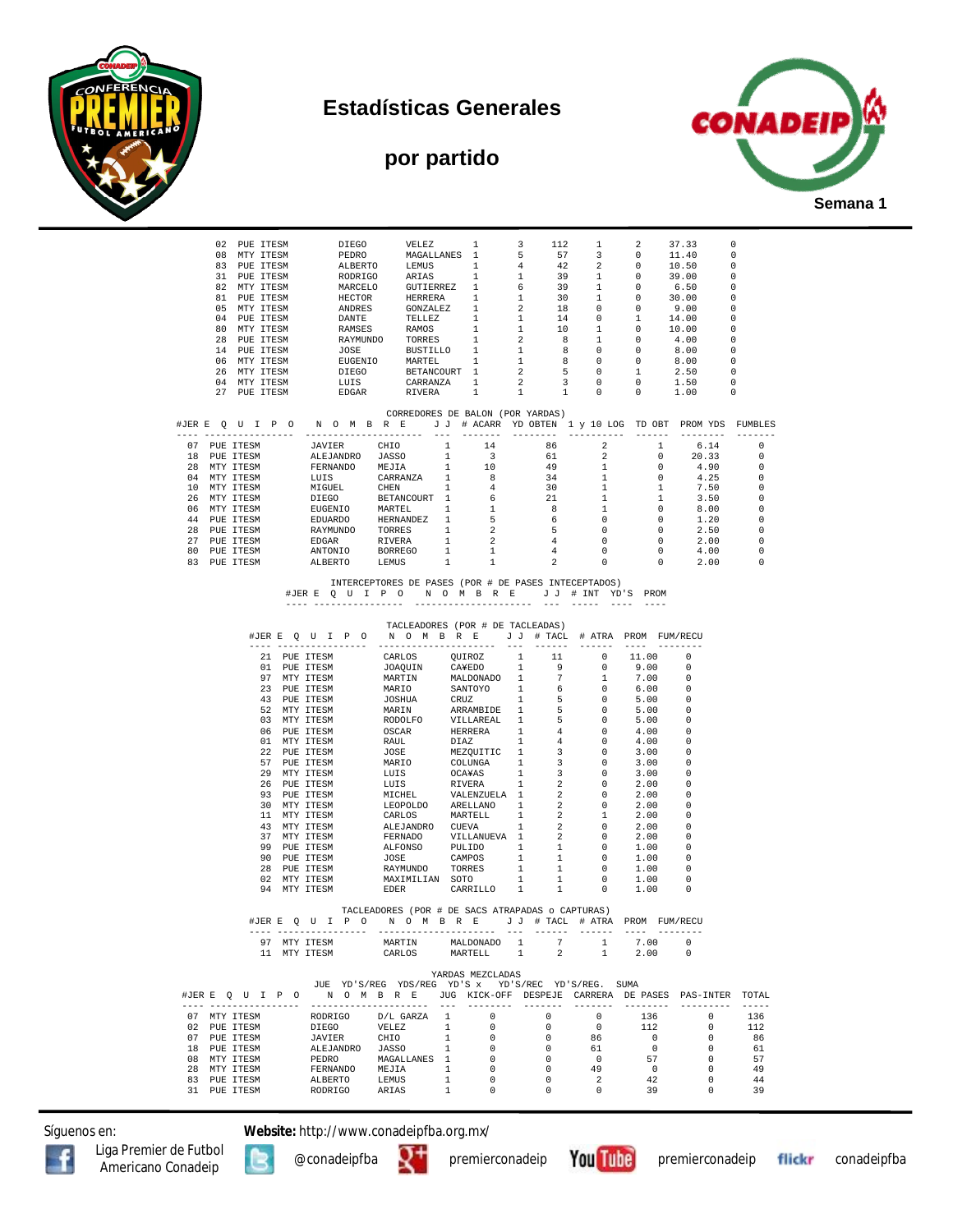







|                                  |                                       |              |                       | $\begin{tabular}{cccccccc} 02 & DUE TTESM & DIEGO & VELEZ & 1 & 3 & 112 & 1 & 2 & 37.33 & 0 \\ 08 & MTY TTESM & PEDRO & MGBALLANES & 1 & 5 & 57 & 3 & 0 & 11.40 & 0 \\ 83 & PUE TTESM & RDERETO & LEMUS & 1 & 4 & 42 & 2 & 0 & 10.50 & 0 \\ 31 & PUE TTESM & RORTECO & GUTIETRE & 1 & 1 & 39 & 1 & 0 & 39.00 & 0 \\ 82 & MTY TTESM & MACELO & GUTIETREREZ & 1 & 6$ |                                                                                                                                         |                |                                 |  |                            |                          |                |                                                                                                                                                                                                                   |                                        |
|----------------------------------|---------------------------------------|--------------|-----------------------|--------------------------------------------------------------------------------------------------------------------------------------------------------------------------------------------------------------------------------------------------------------------------------------------------------------------------------------------------------------------|-----------------------------------------------------------------------------------------------------------------------------------------|----------------|---------------------------------|--|----------------------------|--------------------------|----------------|-------------------------------------------------------------------------------------------------------------------------------------------------------------------------------------------------------------------|----------------------------------------|
|                                  |                                       |              |                       |                                                                                                                                                                                                                                                                                                                                                                    |                                                                                                                                         |                |                                 |  |                            |                          |                |                                                                                                                                                                                                                   |                                        |
|                                  |                                       |              |                       |                                                                                                                                                                                                                                                                                                                                                                    |                                                                                                                                         |                |                                 |  |                            |                          |                |                                                                                                                                                                                                                   |                                        |
|                                  |                                       |              |                       |                                                                                                                                                                                                                                                                                                                                                                    |                                                                                                                                         |                |                                 |  |                            |                          |                |                                                                                                                                                                                                                   |                                        |
|                                  |                                       |              |                       |                                                                                                                                                                                                                                                                                                                                                                    |                                                                                                                                         |                |                                 |  |                            |                          |                |                                                                                                                                                                                                                   |                                        |
|                                  |                                       |              |                       |                                                                                                                                                                                                                                                                                                                                                                    |                                                                                                                                         |                |                                 |  |                            |                          |                |                                                                                                                                                                                                                   |                                        |
|                                  |                                       |              |                       |                                                                                                                                                                                                                                                                                                                                                                    |                                                                                                                                         |                |                                 |  |                            |                          |                |                                                                                                                                                                                                                   |                                        |
|                                  |                                       |              |                       |                                                                                                                                                                                                                                                                                                                                                                    |                                                                                                                                         |                |                                 |  |                            |                          |                |                                                                                                                                                                                                                   |                                        |
|                                  |                                       |              | 14 PUE ITESM          |                                                                                                                                                                                                                                                                                                                                                                    |                                                                                                                                         |                |                                 |  |                            |                          |                |                                                                                                                                                                                                                   |                                        |
|                                  |                                       |              | 06 MTY ITESM          |                                                                                                                                                                                                                                                                                                                                                                    |                                                                                                                                         |                |                                 |  |                            |                          |                |                                                                                                                                                                                                                   |                                        |
|                                  |                                       |              | 26 MTY ITESM          |                                                                                                                                                                                                                                                                                                                                                                    | NATHUND JONES BUSTILLO 1 1 2 6 0<br>EUGENIO MARTEL 1 1 8 0<br>DIEGO BETANCOURT 1 2 5 0<br>LUIS CARRANZA 1 2 3 0<br>EDGAR RIVERA 1 1 1 0 |                |                                 |  |                            |                          |                | $\begin{array}{cccccccc} 1 & 1 & 2 & 3 & 0 & 0 & 0.00 & 0 \\ 1 & 1 & 1 & 8 & 0 & 0 & 8.00 & 0 \\ 1 & 1 & 2 & 5 & 0 & 1 & 2.50 & 0 \\ 1 & 2 & 5 & 0 & 1 & 2.50 & 0 \\ 1 & 1 & 1 & 0 & 0 & 1.00 & 0 \\ \end{array}$ |                                        |
|                                  |                                       |              | 04 MTY ITESM          |                                                                                                                                                                                                                                                                                                                                                                    |                                                                                                                                         |                |                                 |  |                            |                          |                |                                                                                                                                                                                                                   |                                        |
|                                  |                                       |              | 27 PUE ITESM          |                                                                                                                                                                                                                                                                                                                                                                    |                                                                                                                                         |                |                                 |  |                            |                          |                |                                                                                                                                                                                                                   |                                        |
| CORREDORES DE BALON (POR YARDAS) |                                       |              |                       |                                                                                                                                                                                                                                                                                                                                                                    |                                                                                                                                         |                |                                 |  |                            |                          |                |                                                                                                                                                                                                                   |                                        |
|                                  |                                       |              |                       | #JERE QUIPO NOMBRE JJ # ACARR YDOBTEN 1 y 10 LOG TDOBT PROMYDS FUMBLES                                                                                                                                                                                                                                                                                             |                                                                                                                                         |                |                                 |  |                            |                          |                |                                                                                                                                                                                                                   |                                        |
|                                  |                                       |              |                       |                                                                                                                                                                                                                                                                                                                                                                    |                                                                                                                                         |                |                                 |  |                            |                          |                |                                                                                                                                                                                                                   |                                        |
|                                  |                                       |              |                       |                                                                                                                                                                                                                                                                                                                                                                    |                                                                                                                                         |                |                                 |  |                            |                          |                | $6.14$ 0                                                                                                                                                                                                          |                                        |
|                                  |                                       |              |                       |                                                                                                                                                                                                                                                                                                                                                                    |                                                                                                                                         |                |                                 |  |                            |                          |                |                                                                                                                                                                                                                   | $\overline{\phantom{0}}$               |
|                                  |                                       |              |                       |                                                                                                                                                                                                                                                                                                                                                                    |                                                                                                                                         |                |                                 |  |                            |                          |                |                                                                                                                                                                                                                   | $^{\circ}$                             |
|                                  |                                       |              |                       |                                                                                                                                                                                                                                                                                                                                                                    |                                                                                                                                         |                |                                 |  |                            |                          |                |                                                                                                                                                                                                                   | $^{\circ}$<br>$\overline{\phantom{0}}$ |
|                                  |                                       |              |                       |                                                                                                                                                                                                                                                                                                                                                                    |                                                                                                                                         |                |                                 |  |                            |                          |                |                                                                                                                                                                                                                   | $\overline{\phantom{0}}$               |
|                                  |                                       |              |                       |                                                                                                                                                                                                                                                                                                                                                                    |                                                                                                                                         |                |                                 |  |                            |                          |                |                                                                                                                                                                                                                   | $\overline{0}$                         |
|                                  |                                       |              |                       |                                                                                                                                                                                                                                                                                                                                                                    |                                                                                                                                         |                |                                 |  |                            |                          |                |                                                                                                                                                                                                                   | 0                                      |
|                                  |                                       |              |                       |                                                                                                                                                                                                                                                                                                                                                                    |                                                                                                                                         |                |                                 |  |                            |                          |                |                                                                                                                                                                                                                   | 0                                      |
|                                  |                                       |              |                       |                                                                                                                                                                                                                                                                                                                                                                    |                                                                                                                                         |                |                                 |  |                            |                          |                |                                                                                                                                                                                                                   | 0                                      |
|                                  |                                       |              |                       |                                                                                                                                                                                                                                                                                                                                                                    |                                                                                                                                         |                |                                 |  |                            |                          |                |                                                                                                                                                                                                                   | $^{\circ}$                             |
|                                  |                                       |              |                       |                                                                                                                                                                                                                                                                                                                                                                    |                                                                                                                                         |                |                                 |  |                            |                          |                |                                                                                                                                                                                                                   | $\overline{0}$                         |
|                                  |                                       |              |                       |                                                                                                                                                                                                                                                                                                                                                                    |                                                                                                                                         |                |                                 |  |                            |                          |                |                                                                                                                                                                                                                   |                                        |
|                                  |                                       |              |                       |                                                                                                                                                                                                                                                                                                                                                                    | INTERCEPTORES DE PASES (POR # DE PASES INTECEPTADOS)                                                                                    |                |                                 |  |                            |                          |                |                                                                                                                                                                                                                   |                                        |
|                                  | #JERE QUIPO NOMBRE JJ # INT YD'S PROM |              |                       |                                                                                                                                                                                                                                                                                                                                                                    |                                                                                                                                         |                |                                 |  |                            |                          |                |                                                                                                                                                                                                                   |                                        |
|                                  |                                       |              |                       |                                                                                                                                                                                                                                                                                                                                                                    |                                                                                                                                         |                |                                 |  |                            |                          |                |                                                                                                                                                                                                                   |                                        |
|                                  |                                       |              |                       |                                                                                                                                                                                                                                                                                                                                                                    | TACLEADORES (POR # DE TACLEADAS)                                                                                                        |                |                                 |  |                            |                          |                |                                                                                                                                                                                                                   |                                        |
|                                  |                                       |              |                       | #JERE QUIPO NOMBRE JJ # TACL # ATRA PROM FUM/RECU                                                                                                                                                                                                                                                                                                                  |                                                                                                                                         |                |                                 |  |                            |                          |                |                                                                                                                                                                                                                   |                                        |
|                                  |                                       |              |                       |                                                                                                                                                                                                                                                                                                                                                                    |                                                                                                                                         |                |                                 |  |                            |                          |                |                                                                                                                                                                                                                   |                                        |
|                                  |                                       |              |                       | 21 PUE ITESM                                                                                                                                                                                                                                                                                                                                                       |                                                                                                                                         |                |                                 |  |                            |                          |                | - 0                                                                                                                                                                                                               |                                        |
|                                  |                                       |              |                       | 01 PUE ITESM                                                                                                                                                                                                                                                                                                                                                       |                                                                                                                                         |                |                                 |  |                            |                          |                | $\overline{0}$                                                                                                                                                                                                    |                                        |
|                                  |                                       |              |                       | 97 MTY ITESM                                                                                                                                                                                                                                                                                                                                                       |                                                                                                                                         |                |                                 |  |                            |                          |                | $\overline{\phantom{0}}$                                                                                                                                                                                          |                                        |
|                                  |                                       |              |                       | 23 PUE ITESM<br>43 PUE ITESM                                                                                                                                                                                                                                                                                                                                       |                                                                                                                                         |                |                                 |  |                            |                          |                | . വ                                                                                                                                                                                                               |                                        |
|                                  |                                       |              |                       | 52 MTY ITESM                                                                                                                                                                                                                                                                                                                                                       |                                                                                                                                         |                |                                 |  |                            |                          |                | $\bigcirc$                                                                                                                                                                                                        |                                        |
|                                  |                                       |              |                       | 03 MTY ITESM                                                                                                                                                                                                                                                                                                                                                       |                                                                                                                                         |                |                                 |  |                            |                          |                | - 0                                                                                                                                                                                                               |                                        |
|                                  |                                       |              |                       | 06 PUE ITESM                                                                                                                                                                                                                                                                                                                                                       |                                                                                                                                         |                |                                 |  |                            |                          |                |                                                                                                                                                                                                                   |                                        |
|                                  |                                       |              |                       | 01 MTY ITESM                                                                                                                                                                                                                                                                                                                                                       |                                                                                                                                         |                |                                 |  |                            |                          |                | $\bigcirc$                                                                                                                                                                                                        |                                        |
|                                  |                                       |              |                       | 22 PUE ITESM                                                                                                                                                                                                                                                                                                                                                       |                                                                                                                                         |                |                                 |  |                            |                          |                | - 0                                                                                                                                                                                                               |                                        |
|                                  |                                       |              |                       | 57 PUE ITESM                                                                                                                                                                                                                                                                                                                                                       |                                                                                                                                         |                |                                 |  |                            |                          |                | $\overline{\phantom{0}}$                                                                                                                                                                                          |                                        |
|                                  |                                       |              |                       | 29 MTY ITESM                                                                                                                                                                                                                                                                                                                                                       |                                                                                                                                         |                |                                 |  |                            |                          |                |                                                                                                                                                                                                                   |                                        |
|                                  |                                       |              |                       | 26 PUE ITESM                                                                                                                                                                                                                                                                                                                                                       |                                                                                                                                         |                |                                 |  |                            |                          |                | $\bigcirc$                                                                                                                                                                                                        |                                        |
|                                  |                                       |              |                       | 93 PUE ITESM                                                                                                                                                                                                                                                                                                                                                       |                                                                                                                                         |                |                                 |  |                            |                          |                | - 0                                                                                                                                                                                                               |                                        |
|                                  |                                       |              |                       | 30 MTY ITESM                                                                                                                                                                                                                                                                                                                                                       |                                                                                                                                         |                |                                 |  |                            |                          |                | . വ<br>_ი                                                                                                                                                                                                         |                                        |
|                                  |                                       |              |                       | 11 MTY ITESM<br>43 MTY ITESM                                                                                                                                                                                                                                                                                                                                       |                                                                                                                                         |                |                                 |  |                            |                          |                | $\overline{\phantom{0}}$                                                                                                                                                                                          |                                        |
|                                  |                                       |              |                       | 37 MTY ITESM                                                                                                                                                                                                                                                                                                                                                       |                                                                                                                                         |                |                                 |  |                            |                          |                | $\overline{\phantom{0}}$                                                                                                                                                                                          |                                        |
|                                  |                                       |              |                       | 99 PUE ITESM                                                                                                                                                                                                                                                                                                                                                       |                                                                                                                                         |                |                                 |  |                            |                          |                | - 0                                                                                                                                                                                                               |                                        |
|                                  |                                       |              |                       | 90 PUE ITESM                                                                                                                                                                                                                                                                                                                                                       |                                                                                                                                         |                |                                 |  |                            |                          |                |                                                                                                                                                                                                                   |                                        |
|                                  |                                       |              | 28 PUE ITESM          |                                                                                                                                                                                                                                                                                                                                                                    |                                                                                                                                         |                |                                 |  |                            |                          |                | $\overline{0}$                                                                                                                                                                                                    |                                        |
|                                  |                                       |              |                       | 02 MTY ITESM                                                                                                                                                                                                                                                                                                                                                       |                                                                                                                                         |                |                                 |  |                            |                          |                | $\overline{\phantom{0}}$                                                                                                                                                                                          |                                        |
|                                  |                                       |              | 94 MTY ITESM          |                                                                                                                                                                                                                                                                                                                                                                    |                                                                                                                                         |                |                                 |  |                            |                          |                | - 0                                                                                                                                                                                                               |                                        |
|                                  |                                       |              |                       |                                                                                                                                                                                                                                                                                                                                                                    |                                                                                                                                         |                |                                 |  |                            |                          |                |                                                                                                                                                                                                                   |                                        |
|                                  |                                       |              |                       | #JERE QUIPO NOMBRE JJ # TACL # ATRA PROM FUM/RECU                                                                                                                                                                                                                                                                                                                  | TACLEADORES (POR # DE SACS ATRAPADAS o CAPTURAS)                                                                                        |                |                                 |  |                            |                          |                |                                                                                                                                                                                                                   |                                        |
|                                  |                                       |              |                       |                                                                                                                                                                                                                                                                                                                                                                    |                                                                                                                                         |                |                                 |  |                            |                          |                |                                                                                                                                                                                                                   |                                        |
|                                  |                                       |              |                       | 97 MTY ITESM                                                                                                                                                                                                                                                                                                                                                       | MARTIN                                                                                                                                  |                | $\verb+MALDONADO+ 1+ \verb+ 1+$ |  | 7                          | 1                        | 7.00           | 0                                                                                                                                                                                                                 |                                        |
|                                  |                                       |              | 11 MTY ITESM          |                                                                                                                                                                                                                                                                                                                                                                    | CARLOS                                                                                                                                  |                | MARTELL <sub>1</sub>            |  | $\overline{\phantom{0}}^2$ | $\mathbf{1}$             | 2.00           | 0                                                                                                                                                                                                                 |                                        |
|                                  |                                       |              |                       |                                                                                                                                                                                                                                                                                                                                                                    |                                                                                                                                         |                |                                 |  |                            |                          |                |                                                                                                                                                                                                                   |                                        |
|                                  |                                       |              |                       |                                                                                                                                                                                                                                                                                                                                                                    |                                                                                                                                         |                | YARDAS MEZCLADAS                |  |                            |                          |                |                                                                                                                                                                                                                   |                                        |
|                                  |                                       |              |                       | JUE YD'S/REG YDS/REG YD'S x YD'S/REC YD'S/REG. SUMA                                                                                                                                                                                                                                                                                                                |                                                                                                                                         |                |                                 |  |                            |                          |                |                                                                                                                                                                                                                   |                                        |
|                                  |                                       |              | ---- ---------------- | #JER E Q U I P O M O M B R E JUG KICK-OFF DESPEJE CARRERA DE PASES PAS-INTER TOTAL                                                                                                                                                                                                                                                                                 |                                                                                                                                         |                |                                 |  |                            |                          |                |                                                                                                                                                                                                                   | $- - - - -$                            |
|                                  |                                       | 07 MTY ITESM |                       | RODRIGO D/L GARZA 1                                                                                                                                                                                                                                                                                                                                                |                                                                                                                                         |                | $\sim$ 0                        |  | $\sim$ 0                   | $\sim$ 0                 | 136            | ------- -------- --------<br>$\sim$ 0                                                                                                                                                                             | 136                                    |
|                                  |                                       | 02 PUE ITESM |                       | DIEGO                                                                                                                                                                                                                                                                                                                                                              | VELEZ                                                                                                                                   | 1              | $\circ$                         |  | $\overline{\phantom{0}}$   | $\overline{0}$           | 112            | $\overline{0}$                                                                                                                                                                                                    | 112                                    |
|                                  |                                       | 07 PUE ITESM |                       | JAVIER CHIO                                                                                                                                                                                                                                                                                                                                                        |                                                                                                                                         | $\mathbf{1}$   | $\overline{0}$                  |  | $\circ$                    | 86                       | $\sim$ 0       | $^{\circ}$                                                                                                                                                                                                        | 86                                     |
|                                  |                                       | 18 PUE ITESM |                       | ALEJANDRO JASSO                                                                                                                                                                                                                                                                                                                                                    |                                                                                                                                         | $\overline{1}$ | $\overline{0}$                  |  | $\overline{0}$             | 61                       | $\overline{0}$ | $\mathbf 0$                                                                                                                                                                                                       | 61                                     |
|                                  |                                       | 08 MTY ITESM |                       | PEDRO MAGALLANES 1                                                                                                                                                                                                                                                                                                                                                 |                                                                                                                                         |                | $\sim$ 0                        |  | $\overline{0}$             | $\sim$ 0                 | 57             | $\overline{0}$                                                                                                                                                                                                    | 57                                     |
|                                  |                                       | 28 MTY ITESM |                       | ${\tt FERNANDO} \qquad {\tt MEJIA} \qquad \qquad {\tt 1}$                                                                                                                                                                                                                                                                                                          |                                                                                                                                         |                | $\overline{\phantom{0}}$        |  | $\overline{0}$             | 49                       | $\overline{0}$ | $\overline{0}$                                                                                                                                                                                                    | 49                                     |
|                                  |                                       | 83 PUE ITESM |                       | ALBERTO LEMUS                                                                                                                                                                                                                                                                                                                                                      |                                                                                                                                         | 1              | $\qquad \qquad 0$               |  | $\overline{0}$             | $\overline{\phantom{a}}$ | 42             | $^{\circ}$                                                                                                                                                                                                        | 44                                     |
|                                  |                                       | 31 PUE ITESM |                       | RODRIGO ARIAS                                                                                                                                                                                                                                                                                                                                                      |                                                                                                                                         | $\mathbf{1}$   | $\overline{0}$                  |  | $\overline{0}$             | $\overline{0}$           | 39             | $\Omega$                                                                                                                                                                                                          | 39                                     |
|                                  |                                       |              |                       |                                                                                                                                                                                                                                                                                                                                                                    |                                                                                                                                         |                |                                 |  |                            |                          |                |                                                                                                                                                                                                                   |                                        |

Síguenos en: **Website:** http://www.conadeipfba.org.mx/